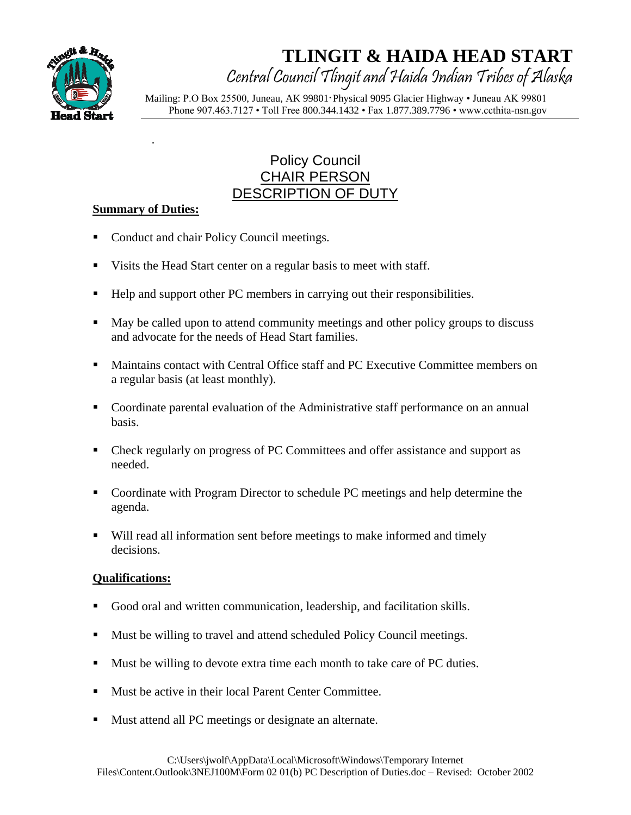

Central Council Tlingit and Haida Indian Tribes of Alaska

 Mailing: P.O Box 25500, Juneau, AK 99801·Physical 9095 Glacier Highway • Juneau AK 99801 Phone 907.463.7127 • Toll Free 800.344.1432 • Fax 1.877.389.7796 • www.ccthita-nsn.gov

## Policy Council CHAIR PERSON DESCRIPTION OF DUTY

#### **Summary of Duties:**

- Conduct and chair Policy Council meetings.
- Visits the Head Start center on a regular basis to meet with staff.
- Help and support other PC members in carrying out their responsibilities.
- May be called upon to attend community meetings and other policy groups to discuss and advocate for the needs of Head Start families.
- Maintains contact with Central Office staff and PC Executive Committee members on a regular basis (at least monthly).
- Coordinate parental evaluation of the Administrative staff performance on an annual basis.
- Check regularly on progress of PC Committees and offer assistance and support as needed.
- Coordinate with Program Director to schedule PC meetings and help determine the agenda.
- Will read all information sent before meetings to make informed and timely decisions.

- Good oral and written communication, leadership, and facilitation skills.
- Must be willing to travel and attend scheduled Policy Council meetings.
- Must be willing to devote extra time each month to take care of PC duties.
- Must be active in their local Parent Center Committee.
- Must attend all PC meetings or designate an alternate.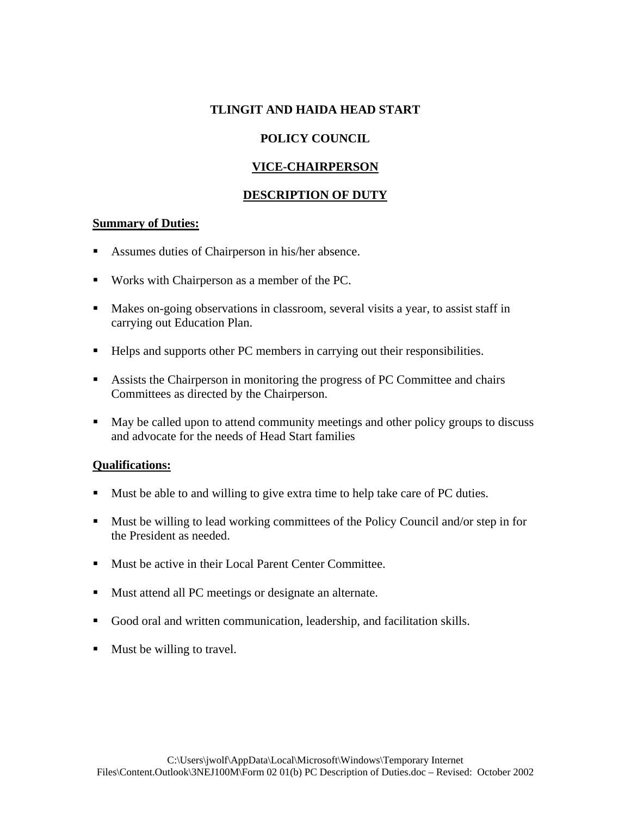## **POLICY COUNCIL**

## **VICE-CHAIRPERSON**

## **DESCRIPTION OF DUTY**

#### **Summary of Duties:**

- Assumes duties of Chairperson in his/her absence.
- Works with Chairperson as a member of the PC.
- Makes on-going observations in classroom, several visits a year, to assist staff in carrying out Education Plan.
- Helps and supports other PC members in carrying out their responsibilities.
- Assists the Chairperson in monitoring the progress of PC Committee and chairs Committees as directed by the Chairperson.
- May be called upon to attend community meetings and other policy groups to discuss and advocate for the needs of Head Start families

- Must be able to and willing to give extra time to help take care of PC duties.
- Must be willing to lead working committees of the Policy Council and/or step in for the President as needed.
- Must be active in their Local Parent Center Committee.
- **Mustatend all PC meetings or designate an alternate.**
- Good oral and written communication, leadership, and facilitation skills.
- Must be willing to travel.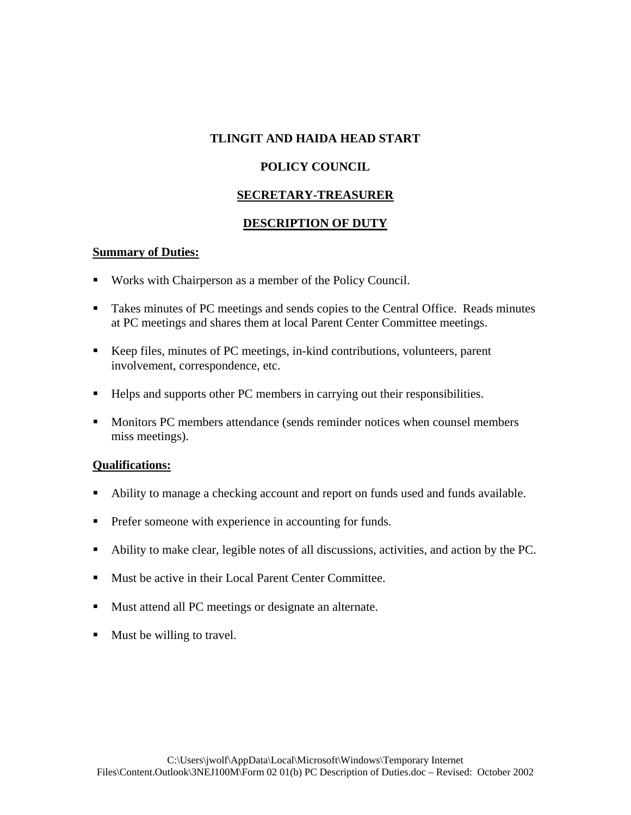#### **POLICY COUNCIL**

#### **SECRETARY-TREASURER**

#### **DESCRIPTION OF DUTY**

#### **Summary of Duties:**

- Works with Chairperson as a member of the Policy Council.
- Takes minutes of PC meetings and sends copies to the Central Office. Reads minutes at PC meetings and shares them at local Parent Center Committee meetings.
- Keep files, minutes of PC meetings, in-kind contributions, volunteers, parent involvement, correspondence, etc.
- Helps and supports other PC members in carrying out their responsibilities.
- Monitors PC members attendance (sends reminder notices when counsel members miss meetings).

- Ability to manage a checking account and report on funds used and funds available.
- **Prefer someone with experience in accounting for funds.**
- Ability to make clear, legible notes of all discussions, activities, and action by the PC.
- **Must be active in their Local Parent Center Committee.**
- Must attend all PC meetings or designate an alternate.
- $\blacksquare$  Must be willing to travel.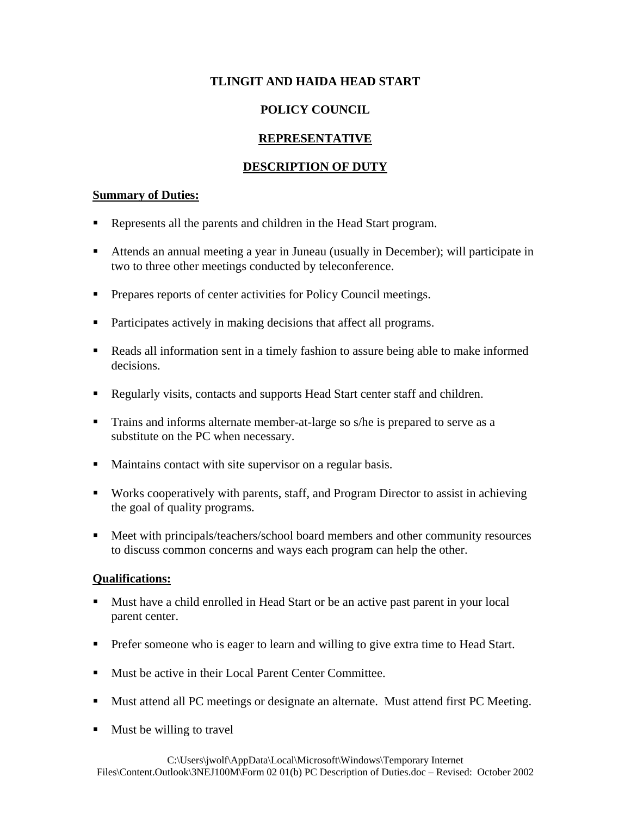## **POLICY COUNCIL**

## **REPRESENTATIVE**

#### **DESCRIPTION OF DUTY**

#### **Summary of Duties:**

- Represents all the parents and children in the Head Start program.
- Attends an annual meeting a year in Juneau (usually in December); will participate in two to three other meetings conducted by teleconference.
- **Prepares reports of center activities for Policy Council meetings.**
- Participates actively in making decisions that affect all programs.
- Reads all information sent in a timely fashion to assure being able to make informed decisions.
- Regularly visits, contacts and supports Head Start center staff and children.
- **Trains and informs alternate member-at-large so s/he is prepared to serve as a** substitute on the PC when necessary.
- Maintains contact with site supervisor on a regular basis.
- Works cooperatively with parents, staff, and Program Director to assist in achieving the goal of quality programs.
- Meet with principals/teachers/school board members and other community resources to discuss common concerns and ways each program can help the other.

- Must have a child enrolled in Head Start or be an active past parent in your local parent center.
- **Prefer someone who is eager to learn and willing to give extra time to Head Start.**
- Must be active in their Local Parent Center Committee.
- Must attend all PC meetings or designate an alternate. Must attend first PC Meeting.
- Must be willing to travel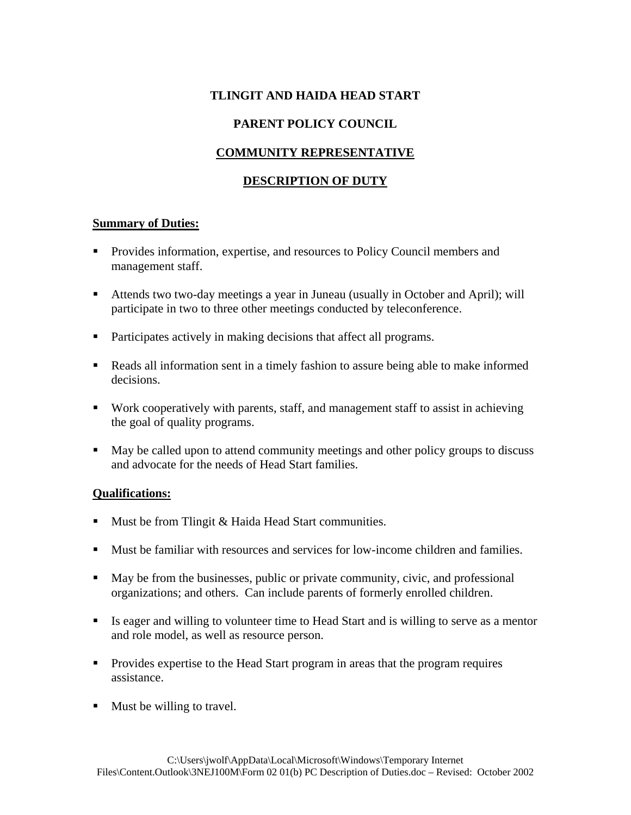## **PARENT POLICY COUNCIL**

## **COMMUNITY REPRESENTATIVE**

## **DESCRIPTION OF DUTY**

#### **Summary of Duties:**

- Provides information, expertise, and resources to Policy Council members and management staff.
- Attends two two-day meetings a year in Juneau (usually in October and April); will participate in two to three other meetings conducted by teleconference.
- Participates actively in making decisions that affect all programs.
- Reads all information sent in a timely fashion to assure being able to make informed decisions.
- Work cooperatively with parents, staff, and management staff to assist in achieving the goal of quality programs.
- May be called upon to attend community meetings and other policy groups to discuss and advocate for the needs of Head Start families.

- $\blacksquare$  Must be from Tlingit & Haida Head Start communities.
- Must be familiar with resources and services for low-income children and families.
- May be from the businesses, public or private community, civic, and professional organizations; and others. Can include parents of formerly enrolled children.
- Is eager and willing to volunteer time to Head Start and is willing to serve as a mentor and role model, as well as resource person.
- Provides expertise to the Head Start program in areas that the program requires assistance.
- $\blacksquare$  Must be willing to travel.